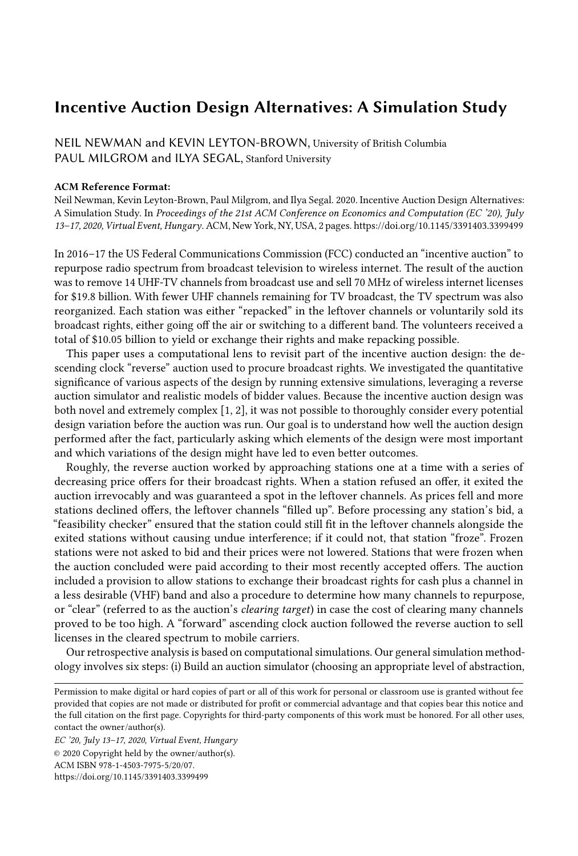## Incentive Auction Design Alternatives: A Simulation Study

NEIL NEWMAN and KEVIN LEYTON-BROWN, University of British Columbia PAUL MILGROM and ILYA SEGAL, Stanford University

## ACM Reference Format:

Neil Newman, Kevin Leyton-Brown, Paul Milgrom, and Ilya Segal. 2020. Incentive Auction Design Alternatives: A Simulation Study. In Proceedings of the 21st ACM Conference on Economics and Computation (EC '20), July 13–17, 2020, Virtual Event, Hungary. ACM, New York, NY, USA, [2](#page-1-0) pages.<https://doi.org/10.1145/3391403.3399499>

In 2016–17 the US Federal Communications Commission (FCC) conducted an "incentive auction" to repurpose radio spectrum from broadcast television to wireless internet. The result of the auction was to remove 14 UHF-TV channels from broadcast use and sell 70 MHz of wireless internet licenses for \$19.8 billion. With fewer UHF channels remaining for TV broadcast, the TV spectrum was also reorganized. Each station was either "repacked" in the leftover channels or voluntarily sold its broadcast rights, either going off the air or switching to a different band. The volunteers received a total of \$10.05 billion to yield or exchange their rights and make repacking possible.

This paper uses a computational lens to revisit part of the incentive auction design: the descending clock "reverse" auction used to procure broadcast rights. We investigated the quantitative significance of various aspects of the design by running extensive simulations, leveraging a reverse auction simulator and realistic models of bidder values. Because the incentive auction design was both novel and extremely complex [\[1,](#page-1-1) [2\]](#page-1-2), it was not possible to thoroughly consider every potential design variation before the auction was run. Our goal is to understand how well the auction design performed after the fact, particularly asking which elements of the design were most important and which variations of the design might have led to even better outcomes.

Roughly, the reverse auction worked by approaching stations one at a time with a series of decreasing price offers for their broadcast rights. When a station refused an offer, it exited the auction irrevocably and was guaranteed a spot in the leftover channels. As prices fell and more stations declined offers, the leftover channels "filled up". Before processing any station's bid, a "feasibility checker" ensured that the station could still fit in the leftover channels alongside the exited stations without causing undue interference; if it could not, that station "froze". Frozen stations were not asked to bid and their prices were not lowered. Stations that were frozen when the auction concluded were paid according to their most recently accepted offers. The auction included a provision to allow stations to exchange their broadcast rights for cash plus a channel in a less desirable (VHF) band and also a procedure to determine how many channels to repurpose, or "clear" (referred to as the auction's clearing target) in case the cost of clearing many channels proved to be too high. A "forward" ascending clock auction followed the reverse auction to sell licenses in the cleared spectrum to mobile carriers.

Our retrospective analysis is based on computational simulations. Our general simulation methodology involves six steps: (i) Build an auction simulator (choosing an appropriate level of abstraction,

EC '20, July 13–17, 2020, Virtual Event, Hungary © 2020 Copyright held by the owner/author(s). ACM ISBN 978-1-4503-7975-5/20/07. <https://doi.org/10.1145/3391403.3399499>

Permission to make digital or hard copies of part or all of this work for personal or classroom use is granted without fee provided that copies are not made or distributed for profit or commercial advantage and that copies bear this notice and the full citation on the first page. Copyrights for third-party components of this work must be honored. For all other uses, contact the owner/author(s).